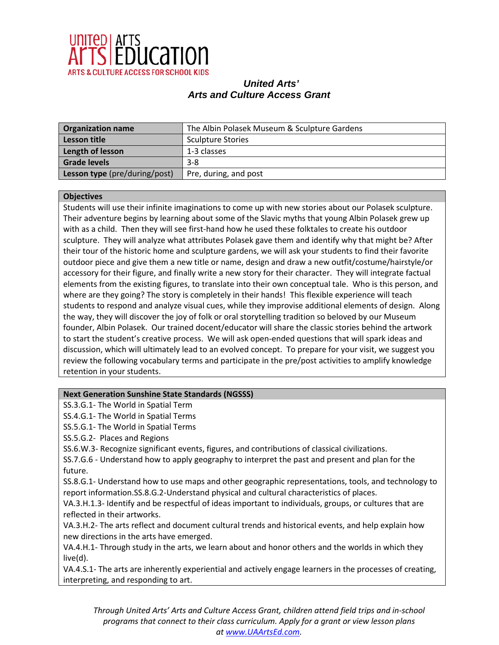

| <b>Organization name</b>      | The Albin Polasek Museum & Sculpture Gardens |
|-------------------------------|----------------------------------------------|
| Lesson title                  | <b>Sculpture Stories</b>                     |
| Length of lesson              | 1-3 classes                                  |
| <b>Grade levels</b>           | $3 - 8$                                      |
| Lesson type (pre/during/post) | Pre, during, and post                        |

#### **Objectives**

Students will use their infinite imaginations to come up with new stories about our Polasek sculpture. Their adventure begins by learning about some of the Slavic myths that young Albin Polasek grew up with as a child. Then they will see first-hand how he used these folktales to create his outdoor sculpture. They will analyze what attributes Polasek gave them and identify why that might be? After their tour of the historic home and sculpture gardens, we will ask your students to find their favorite outdoor piece and give them a new title or name, design and draw a new outfit/costume/hairstyle/or accessory for their figure, and finally write a new story for their character. They will integrate factual elements from the existing figures, to translate into their own conceptual tale. Who is this person, and where are they going? The story is completely in their hands! This flexible experience will teach students to respond and analyze visual cues, while they improvise additional elements of design. Along the way, they will discover the joy of folk or oral storytelling tradition so beloved by our Museum founder, Albin Polasek. Our trained docent/educator will share the classic stories behind the artwork to start the student's creative process. We will ask open-ended questions that will spark ideas and discussion, which will ultimately lead to an evolved concept. To prepare for your visit, we suggest you review the following vocabulary terms and participate in the pre/post activities to amplify knowledge retention in your students.

### **Next Generation Sunshine State Standards (NGSSS)**

SS.3.G.1- The World in Spatial Term

SS.4.G.1- The World in Spatial Terms

SS.5.G.1- The World in Spatial Terms

SS.5.G.2- Places and Regions

SS.6.W.3- Recognize significant events, figures, and contributions of classical civilizations.

SS.7.G.6 - Understand how to apply geography to interpret the past and present and plan for the future.

SS.8.G.1- Understand how to use maps and other geographic representations, tools, and technology to report information.SS.8.G.2-Understand physical and cultural characteristics of places.

VA.3.H.1.3- Identify and be respectful of ideas important to individuals, groups, or cultures that are reflected in their artworks.

VA.3.H.2- The arts reflect and document cultural trends and historical events, and help explain how new directions in the arts have emerged.

VA.4.H.1- Through study in the arts, we learn about and honor others and the worlds in which they live(d).

VA.4.S.1- The arts are inherently experiential and actively engage learners in the processes of creating, interpreting, and responding to art.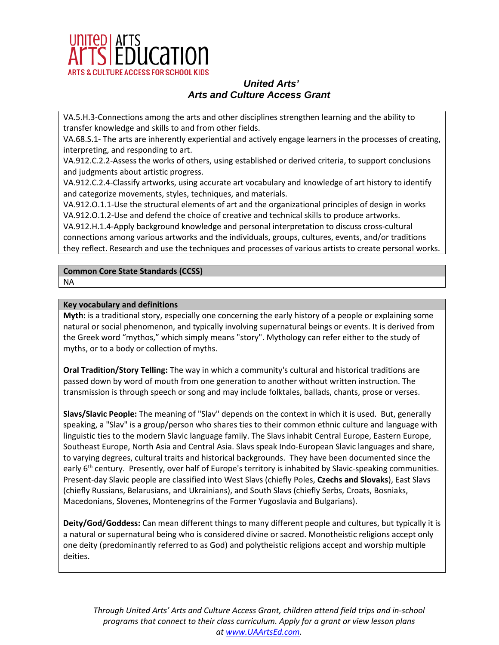

VA.5.H.3-Connections among the arts and other disciplines strengthen learning and the ability to transfer knowledge and skills to and from other fields.

VA.68.S.1- The arts are inherently experiential and actively engage learners in the processes of creating, interpreting, and responding to art.

VA.912.C.2.2-Assess the works of others, using established or derived criteria, to support conclusions and judgments about artistic progress.

VA.912.C.2.4-Classify artworks, using accurate art vocabulary and knowledge of art history to identify and categorize movements, styles, techniques, and materials.

VA.912.O.1.1-Use the structural elements of art and the organizational principles of design in works VA.912.O.1.2-Use and defend the choice of creative and technical skills to produce artworks.

VA.912.H.1.4-Apply background knowledge and personal interpretation to discuss cross-cultural connections among various artworks and the individuals, groups, cultures, events, and/or traditions they reflect. Research and use the techniques and processes of various artists to create personal works.

# **Common Core State Standards (CCSS)**

NA

## **Key vocabulary and definitions**

**Myth:** is a traditional story, especially one concerning the early history of a people or explaining some natural or social phenomenon, and typically involving supernatural beings or events. It is derived from the Greek word "mythos," which simply means "story". Mythology can refer either to the study of myths, or to a body or collection of myths.

**Oral Tradition/Story Telling:** The way in which a community's cultural and historical traditions are passed down by word of mouth from one generation to another without written instruction. The transmission is through speech or song and may include folktales, ballads, chants, prose or verses.

**Slavs/Slavic People:** The meaning of "Slav" depends on the context in which it is used. But, generally speaking, a "Slav" is a group/person who shares ties to their common ethnic culture and language with linguistic ties to the modern Slavic language family. The Slavs inhabit Central Europe, Eastern Europe, Southeast Europe, North Asia and Central Asia. Slavs speak Indo-European Slavic languages and share, to varying degrees, cultural traits and historical backgrounds. They have been documented since the early 6<sup>th</sup> century. Presently, over half of Europe's territory is inhabited by Slavic-speaking communities. Present-day Slavic people are classified into West Slavs (chiefly Poles, **Czechs and Slovaks**), East Slavs (chiefly Russians, Belarusians, and Ukrainians), and South Slavs (chiefly Serbs, Croats, Bosniaks, Macedonians, Slovenes, Montenegrins of the Former Yugoslavia and Bulgarians).

**Deity/God/Goddess:** Can mean different things to many different people and cultures, but typically it is a natural or supernatural being who is considered divine or sacred. Monotheistic religions accept only one deity (predominantly referred to as God) and polytheistic religions accept and worship multiple deities.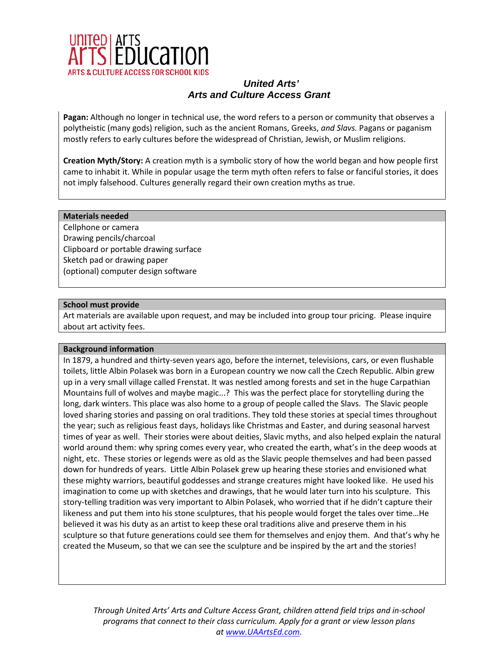

**Pagan:** Although no longer in technical use, the word refers to a person or community that observes a polytheistic (many gods) religion, such as the ancient Romans, Greeks, *and Slavs.* Pagans or paganism mostly refers to early cultures before the widespread of Christian, Jewish, or Muslim religions.

**Creation Myth/Story:** A creation myth is a symbolic story of how the world began and how people first came to inhabit it. While in popular usage the term myth often refers to false or fanciful stories, it does not imply falsehood. Cultures generally regard their own creation myths as true.

#### **Materials needed**

Cellphone or camera Drawing pencils/charcoal Clipboard or portable drawing surface Sketch pad or drawing paper (optional) computer design software

#### **School must provide**

Art materials are available upon request, and may be included into group tour pricing. Please inquire about art activity fees.

#### **Background information**

In 1879, a hundred and thirty-seven years ago, before the internet, televisions, cars, or even flushable toilets, little Albin Polasek was born in a European country we now call the Czech Republic. Albin grew up in a very small village called Frenstat. It was nestled among forests and set in the huge Carpathian Mountains full of wolves and maybe magic...? This was the perfect place for storytelling during the long, dark winters. This place was also home to a group of people called the Slavs. The Slavic people loved sharing stories and passing on oral traditions. They told these stories at special times throughout the year; such as religious feast days, holidays like Christmas and Easter, and during seasonal harvest times of year as well. Their stories were about deities, Slavic myths, and also helped explain the natural world around them: why spring comes every year, who created the earth, what's in the deep woods at night, etc. These stories or legends were as old as the Slavic people themselves and had been passed down for hundreds of years. Little Albin Polasek grew up hearing these stories and envisioned what these mighty warriors, beautiful goddesses and strange creatures might have looked like. He used his imagination to come up with sketches and drawings, that he would later turn into his sculpture. This story-telling tradition was very important to Albin Polasek, who worried that if he didn't capture their likeness and put them into his stone sculptures, that his people would forget the tales over time…He believed it was his duty as an artist to keep these oral traditions alive and preserve them in his sculpture so that future generations could see them for themselves and enjoy them. And that's why he created the Museum, so that we can see the sculpture and be inspired by the art and the stories!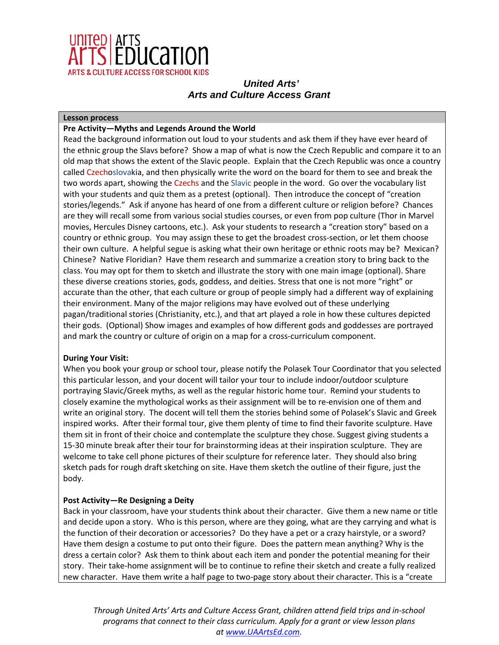

### **Lesson process**

### **Pre Activity—Myths and Legends Around the World**

Read the background information out loud to your students and ask them if they have ever heard of the ethnic group the Slavs before? Show a map of what is now the Czech Republic and compare it to an old map that shows the extent of the Slavic people. Explain that the Czech Republic was once a country called Czechoslovakia, and then physically write the word on the board for them to see and break the two words apart, showing the Czechs and the Slavic people in the word. Go over the vocabulary list with your students and quiz them as a pretest (optional). Then introduce the concept of "creation stories/legends." Ask if anyone has heard of one from a different culture or religion before? Chances are they will recall some from various social studies courses, or even from pop culture (Thor in Marvel movies, Hercules Disney cartoons, etc.). Ask your students to research a "creation story" based on a country or ethnic group. You may assign these to get the broadest cross-section, or let them choose their own culture. A helpful segue is asking what their own heritage or ethnic roots may be? Mexican? Chinese? Native Floridian? Have them research and summarize a creation story to bring back to the class. You may opt for them to sketch and illustrate the story with one main image (optional). Share these diverse creations stories, gods, goddess, and deities. Stress that one is not more "right" or accurate than the other, that each culture or group of people simply had a different way of explaining their environment. Many of the major religions may have evolved out of these underlying pagan/traditional stories (Christianity, etc.), and that art played a role in how these cultures depicted their gods. (Optional) Show images and examples of how different gods and goddesses are portrayed and mark the country or culture of origin on a map for a cross-curriculum component.

### **During Your Visit:**

When you book your group or school tour, please notify the Polasek Tour Coordinator that you selected this particular lesson, and your docent will tailor your tour to include indoor/outdoor sculpture portraying Slavic/Greek myths, as well as the regular historic home tour. Remind your students to closely examine the mythological works as their assignment will be to re-envision one of them and write an original story. The docent will tell them the stories behind some of Polasek's Slavic and Greek inspired works. After their formal tour, give them plenty of time to find their favorite sculpture. Have them sit in front of their choice and contemplate the sculpture they chose. Suggest giving students a 15-30 minute break after their tour for brainstorming ideas at their inspiration sculpture. They are welcome to take cell phone pictures of their sculpture for reference later. They should also bring sketch pads for rough draft sketching on site. Have them sketch the outline of their figure, just the body.

### **Post Activity—Re Designing a Deity**

Back in your classroom, have your students think about their character. Give them a new name or title and decide upon a story. Who is this person, where are they going, what are they carrying and what is the function of their decoration or accessories? Do they have a pet or a crazy hairstyle, or a sword? Have them design a costume to put onto their figure. Does the pattern mean anything? Why is the dress a certain color? Ask them to think about each item and ponder the potential meaning for their story. Their take-home assignment will be to continue to refine their sketch and create a fully realized new character. Have them write a half page to two-page story about their character. This is a "create